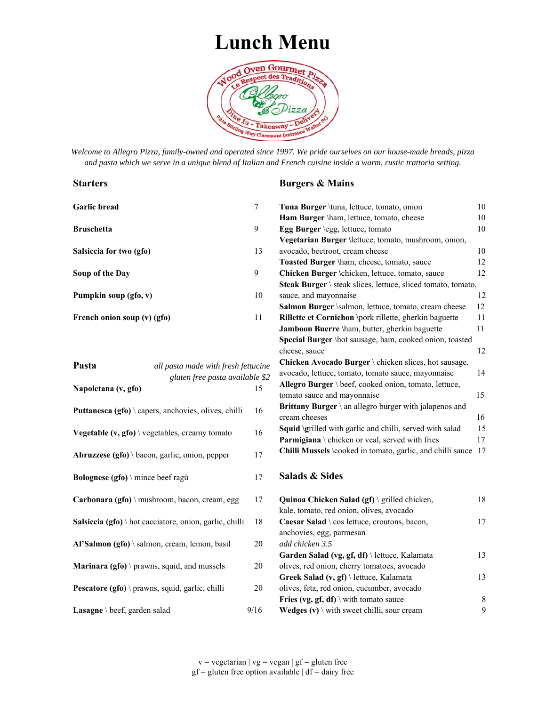## **Lunch Menu**



*Welcome to Allegro Pizza, family-owned and operated since 1997. We pride ourselves on our house-made breads, pizza and pasta which we serve in a unique blend of Italian and French cuisine inside a warm, rustic trattoria setting.* 

#### **Starters**

Abruzzese (gfo) \ bacon, garlic, onion, pepper 17

**Bolognese (gfo)** \ mince beef ragù 17

#### **Burgers & Mains**

| <b>Garlic bread</b>                                   |                                 | 7  |                                                                     | 10 |
|-------------------------------------------------------|---------------------------------|----|---------------------------------------------------------------------|----|
|                                                       |                                 |    | Tuna Burger \tuna, lettuce, tomato, onion                           |    |
|                                                       |                                 |    | Ham Burger \ham, lettuce, tomato, cheese                            | 10 |
| <b>Bruschetta</b>                                     |                                 | 9  | Egg Burger \egg, lettuce, tomato                                    | 10 |
|                                                       |                                 |    | Vegetarian Burger \lettuce, tomato, mushroom, onion,                |    |
| Salsiccia for two (gfo)                               |                                 | 13 | avocado, beetroot, cream cheese                                     | 10 |
|                                                       |                                 |    | Toasted Burger \ham, cheese, tomato, sauce                          | 12 |
| Soup of the Day                                       |                                 | 9  | Chicken Burger \chicken, lettuce, tomato, sauce                     | 12 |
|                                                       |                                 |    | <b>Steak Burger</b> \ steak slices, lettuce, sliced tomato, tomato, |    |
| Pumpkin soup (gfo, v)                                 |                                 | 10 | sauce, and mayonnaise                                               | 12 |
|                                                       |                                 |    | Salmon Burger \salmon, lettuce, tomato, cream cheese                | 12 |
| French onion soup (v) (gfo)                           |                                 | 11 | Rillette et Cornichon \pork rillette, gherkin baguette              | 11 |
|                                                       |                                 |    | Jamboon Buerre \ham, butter, gherkin baguette                       | 11 |
|                                                       |                                 |    | Special Burger \hot sausage, ham, cooked onion, toasted             |    |
|                                                       |                                 |    | cheese, sauce                                                       | 12 |
| Pasta<br>all pasta made with fresh fettucine          |                                 |    | Chicken Avocado Burger \ chicken slices, hot sausage,               |    |
|                                                       |                                 |    | avocado, lettuce, tomato, tomato sauce, mayonnaise                  | 14 |
|                                                       | gluten free pasta available \$2 |    | Allegro Burger \ beef, cooked onion, tomato, lettuce,               |    |
| Napoletana (v, gfo)                                   |                                 | 15 | tomato sauce and mayonnaise                                         | 15 |
|                                                       |                                 |    | Brittany Burger \ an allegro burger with jalapenos and              |    |
| Puttanesca (gfo) \ capers, anchovies, olives, chilli  |                                 | 16 | cream cheeses                                                       | 16 |
|                                                       |                                 |    | Squid \grilled with garlic and chilli, served with salad            | 15 |
| <b>Vegetable (v, gfo)</b> \ vegetables, creamy tomato |                                 | 16 | Parmigiana \ chicken or veal, served with fries                     | 17 |

Chilli Mussels \cooked in tomato, garlic, and chilli sauce 17

#### **Salads & Sides**

| Carbonara (gfo) \ mushroom, bacon, cream, egg                  | 17   | Quinoa Chicken Salad $(gf) \setminus g$ rilled chicken,<br>kale, tomato, red onion, olives, avocado | 18 |
|----------------------------------------------------------------|------|-----------------------------------------------------------------------------------------------------|----|
| <b>Salsiccia (gfo)</b> \ hot cacciatore, onion, garlic, chilli | -18  | <b>Caesar Salad</b> \ $\cos$ lettuce, croutons, bacon,<br>anchovies, egg, parmesan                  |    |
| $Al'Salmon (gfo) \$ salmon, cream, lemon, basil                | 20   | add chicken 3.5                                                                                     |    |
|                                                                |      | Garden Salad (vg, gf, df) \ lettuce, Kalamata                                                       | 13 |
| <b>Marinara (gfo)</b> \ prawns, squid, and mussels             | 20   | olives, red onion, cherry tomatoes, avocado                                                         |    |
|                                                                |      | <b>Greek Salad (v, gf)</b> \ lettuce, Kalamata                                                      | 13 |
| Pescatore (gfo) \ prawns, squid, garlic, chilli                | 20   | olives, feta, red onion, cucumber, avocado                                                          |    |
|                                                                |      | Fries (vg, gf, df) \ with tomato sauce                                                              | 8  |
| <b>Lasagne</b> \ beef, garden salad                            | 9/16 | <b>Wedges (v)</b> \ with sweet chilli, sour cream                                                   | 9  |